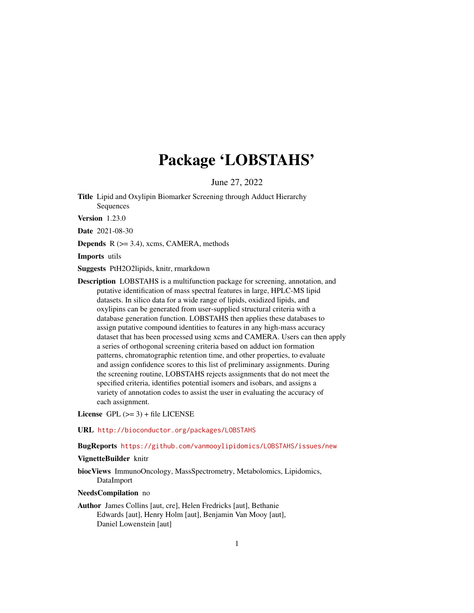# Package 'LOBSTAHS'

June 27, 2022

<span id="page-0-0"></span>Title Lipid and Oxylipin Biomarker Screening through Adduct Hierarchy Sequences

Version 1.23.0

Date 2021-08-30

**Depends**  $R$  ( $>= 3.4$ ), xcms, CAMERA, methods

Imports utils

Suggests PtH2O2lipids, knitr, rmarkdown

Description LOBSTAHS is a multifunction package for screening, annotation, and putative identification of mass spectral features in large, HPLC-MS lipid datasets. In silico data for a wide range of lipids, oxidized lipids, and oxylipins can be generated from user-supplied structural criteria with a database generation function. LOBSTAHS then applies these databases to assign putative compound identities to features in any high-mass accuracy dataset that has been processed using xcms and CAMERA. Users can then apply a series of orthogonal screening criteria based on adduct ion formation patterns, chromatographic retention time, and other properties, to evaluate and assign confidence scores to this list of preliminary assignments. During the screening routine, LOBSTAHS rejects assignments that do not meet the specified criteria, identifies potential isomers and isobars, and assigns a variety of annotation codes to assist the user in evaluating the accuracy of each assignment.

License  $GPL$  ( $>= 3$ ) + file LICENSE

URL <http://bioconductor.org/packages/LOBSTAHS>

BugReports <https://github.com/vanmooylipidomics/LOBSTAHS/issues/new>

# VignetteBuilder knitr

biocViews ImmunoOncology, MassSpectrometry, Metabolomics, Lipidomics, DataImport

#### NeedsCompilation no

Author James Collins [aut, cre], Helen Fredricks [aut], Bethanie Edwards [aut], Henry Holm [aut], Benjamin Van Mooy [aut], Daniel Lowenstein [aut]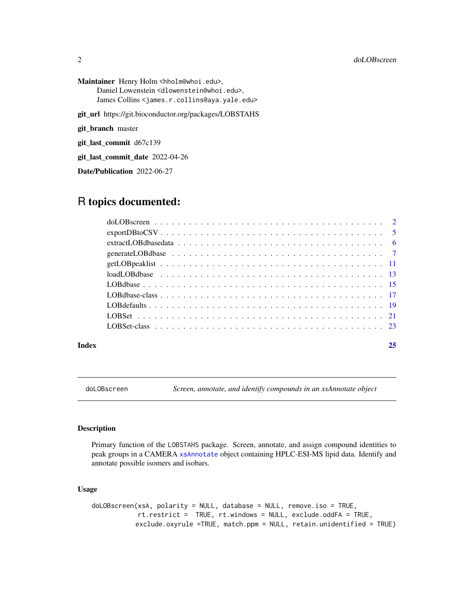<span id="page-1-0"></span>Maintainer Henry Holm <hholm@whoi.edu>, Daniel Lowenstein <dlowenstein@whoi.edu>, James Collins <james.r.collins@aya.yale.edu>

git\_url https://git.bioconductor.org/packages/LOBSTAHS

git\_branch master

git\_last\_commit d67c139

git\_last\_commit\_date 2022-04-26

Date/Publication 2022-06-27

# R topics documented:

| Index | 25 |
|-------|----|

<span id="page-1-1"></span>doLOBscreen *Screen, annotate, and identify compounds in an xsAnnotate object*

# Description

Primary function of the LOBSTAHS package. Screen, annotate, and assign compound identities to peak groups in a CAMERA [xsAnnotate](#page-0-0) object containing HPLC-ESI-MS lipid data. Identify and annotate possible isomers and isobars.

# Usage

```
doLOBscreen(xsA, polarity = NULL, database = NULL, remove.iso = TRUE,
           rt.restrict = TRUE, rt.windows = NULL, exclude.oddFA = TRUE,
           exclude.oxyrule =TRUE, match.ppm = NULL, retain.unidentified = TRUE)
```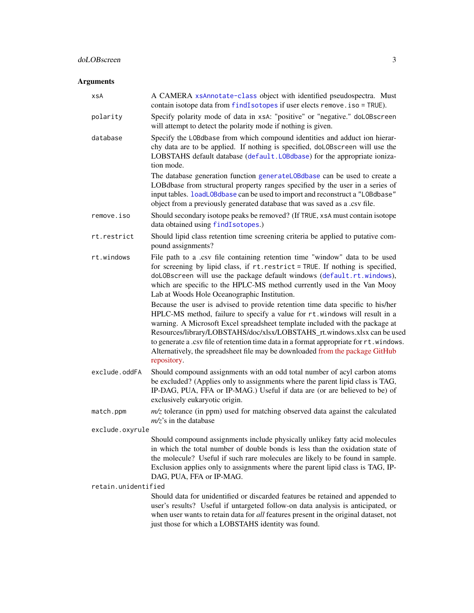# <span id="page-2-0"></span>Arguments

| xsA                 | A CAMERA xsAnnotate-class object with identified pseudospectra. Must<br>contain isotope data from findIsotopes if user elects remove. iso = TRUE).                                                                                                                                                                                                                                                                                                                                                                  |
|---------------------|---------------------------------------------------------------------------------------------------------------------------------------------------------------------------------------------------------------------------------------------------------------------------------------------------------------------------------------------------------------------------------------------------------------------------------------------------------------------------------------------------------------------|
| polarity            | Specify polarity mode of data in xsA: "positive" or "negative." doLOBscreen<br>will attempt to detect the polarity mode if nothing is given.                                                                                                                                                                                                                                                                                                                                                                        |
| database            | Specify the LOBdbase from which compound identities and adduct ion hierar-<br>chy data are to be applied. If nothing is specified, doLOBscreen will use the<br>LOBSTAHS default database (default.LOBdbase) for the appropriate ioniza-<br>tion mode.                                                                                                                                                                                                                                                               |
|                     | The database generation function generateLOBdbase can be used to create a<br>LOBdbase from structural property ranges specified by the user in a series of<br>input tables. loadLOBdbase can be used to import and reconstruct a "LOBdbase"<br>object from a previously generated database that was saved as a .csv file.                                                                                                                                                                                           |
| remove.iso          | Should secondary isotope peaks be removed? (If TRUE, xsA must contain isotope<br>data obtained using findIsotopes.)                                                                                                                                                                                                                                                                                                                                                                                                 |
| rt.restrict         | Should lipid class retention time screening criteria be applied to putative com-<br>pound assignments?                                                                                                                                                                                                                                                                                                                                                                                                              |
| rt.windows          | File path to a .csv file containing retention time "window" data to be used<br>for screening by lipid class, if rt. restrict = TRUE. If nothing is specified,<br>doLOBscreen will use the package default windows (default.rt.windows),<br>which are specific to the HPLC-MS method currently used in the Van Mooy<br>Lab at Woods Hole Oceanographic Institution.                                                                                                                                                  |
|                     | Because the user is advised to provide retention time data specific to his/her<br>HPLC-MS method, failure to specify a value for rt.windows will result in a<br>warning. A Microsoft Excel spreadsheet template included with the package at<br>Resources/library/LOBSTAHS/doc/xlsx/LOBSTAHS_rt.windows.xlsx can be used<br>to generate a .csv file of retention time data in a format appropriate for rt. windows.<br>Alternatively, the spreadsheet file may be downloaded from the package GitHub<br>repository. |
| exclude.oddFA       | Should compound assignments with an odd total number of acyl carbon atoms<br>be excluded? (Applies only to assignments where the parent lipid class is TAG,<br>IP-DAG, PUA, FFA or IP-MAG.) Useful if data are (or are believed to be) of<br>exclusively eukaryotic origin.                                                                                                                                                                                                                                         |
| match.ppm           | $m/z$ tolerance (in ppm) used for matching observed data against the calculated<br>$m/z$ 's in the database                                                                                                                                                                                                                                                                                                                                                                                                         |
| exclude.oxyrule     |                                                                                                                                                                                                                                                                                                                                                                                                                                                                                                                     |
| retain.unidentified | Should compound assignments include physically unlikey fatty acid molecules<br>in which the total number of double bonds is less than the oxidation state of<br>the molecule? Useful if such rare molecules are likely to be found in sample.<br>Exclusion applies only to assignments where the parent lipid class is TAG, IP-<br>DAG, PUA, FFA or IP-MAG.                                                                                                                                                         |
|                     | Should data for unidentified or discarded features be retained and appended to<br>user's results? Useful if untargeted follow-on data analysis is anticipated, or<br>when user wants to retain data for all features present in the original dataset, not<br>just those for which a LOBSTAHS identity was found.                                                                                                                                                                                                    |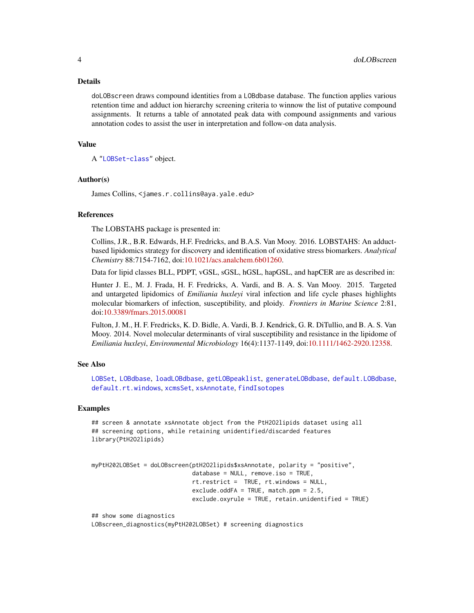#### <span id="page-3-0"></span>Details

doLOBscreen draws compound identities from a LOBdbase database. The function applies various retention time and adduct ion hierarchy screening criteria to winnow the list of putative compound assignments. It returns a table of annotated peak data with compound assignments and various annotation codes to assist the user in interpretation and follow-on data analysis.

# Value

A ["LOBSet-class"](#page-22-1) object.

#### Author(s)

James Collins, <james.r.collins@aya.yale.edu>

#### References

The LOBSTAHS package is presented in:

Collins, J.R., B.R. Edwards, H.F. Fredricks, and B.A.S. Van Mooy. 2016. LOBSTAHS: An adductbased lipidomics strategy for discovery and identification of oxidative stress biomarkers. *Analytical Chemistry* 88:7154-7162, doi[:10.1021/acs.analchem.6b01260.](http://dx.doi.org/10.1021/acs.analchem.6b01260)

Data for lipid classes BLL, PDPT, vGSL, sGSL, hGSL, hapGSL, and hapCER are as described in:

Hunter J. E., M. J. Frada, H. F. Fredricks, A. Vardi, and B. A. S. Van Mooy. 2015. Targeted and untargeted lipidomics of *Emiliania huxleyi* viral infection and life cycle phases highlights molecular biomarkers of infection, susceptibility, and ploidy. *Frontiers in Marine Science* 2:81, doi[:10.3389/fmars.2015.00081](http://dx.doi.org/10.3389/fmars.2015.00081)

Fulton, J. M., H. F. Fredricks, K. D. Bidle, A. Vardi, B. J. Kendrick, G. R. DiTullio, and B. A. S. Van Mooy. 2014. Novel molecular determinants of viral susceptibility and resistance in the lipidome of *Emiliania huxleyi*, *Environmental Microbiology* 16(4):1137-1149, doi[:10.1111/1462-2920.12358.](http://dx.doi.org/10.1111/1462-2920.12358)

# See Also

[LOBSet](#page-22-1), [LOBdbase](#page-16-1), [loadLOBdbase](#page-12-1), [getLOBpeaklist](#page-10-1), [generateLOBdbase](#page-6-1), [default.LOBdbase](#page-18-1), [default.rt.windows](#page-18-1), [xcmsSet](#page-0-0), [xsAnnotate](#page-0-0), [findIsotopes](#page-0-0)

### Examples

## screen & annotate xsAnnotate object from the PtH2O2lipids dataset using all ## screening options, while retaining unidentified/discarded features library(PtH2O2lipids)

```
myPtH202LOBSet = doLOBscreen(ptH2O2lipids$xsAnnotate, polarity = "positive",
                            database = NULL, remove.iso = TRUE,
                             rt.restrict = TRUE, rt.windows = NULL,
                             exclude.oddFA = TRUE, match.ppm = 2.5,
                             exclude.oxyrule = TRUE, retain.unidentified = TRUE)
```
## show some diagnostics LOBscreen\_diagnostics(myPtH202LOBSet) # screening diagnostics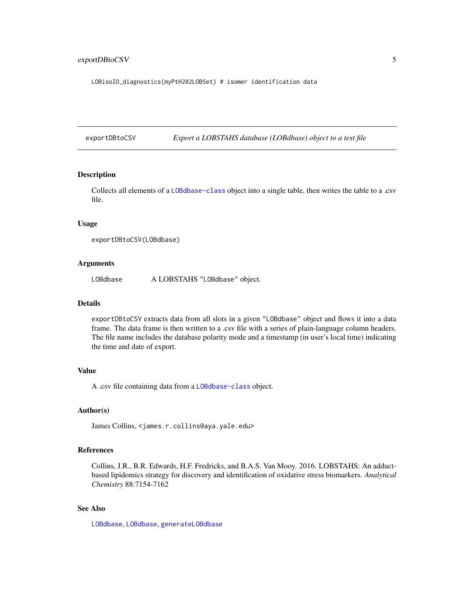# <span id="page-4-0"></span>exportDBtoCSV 5

LOBisoID\_diagnostics(myPtH202LOBSet) # isomer identification data

exportDBtoCSV *Export a LOBSTAHS database (LOBdbase) object to a text file*

# Description

Collects all elements of a [LOBdbase-class](#page-16-1) object into a single table, then writes the table to a .csv file.

#### Usage

```
exportDBtoCSV(LOBdbase)
```
# Arguments

LOBdbase A LOBSTAHS "LOBdbase" object.

# Details

exportDBtoCSV extracts data from all slots in a given "LOBdbase" object and flows it into a data frame. The data frame is then written to a .csv file with a series of plain-language column headers. The file name includes the database polarity mode and a timestamp (in user's local time) indicating the time and date of export.

# Value

A .csv file containing data from a [LOBdbase-class](#page-16-1) object.

# Author(s)

James Collins, <james.r.collins@aya.yale.edu>

# References

Collins, J.R., B.R. Edwards, H.F. Fredricks, and B.A.S. Van Mooy. 2016. LOBSTAHS: An adductbased lipidomics strategy for discovery and identification of oxidative stress biomarkers. *Analytical Chemistry* 88:7154-7162

# See Also

[LOBdbase](#page-14-1), [LOBdbase](#page-16-1), [generateLOBdbase](#page-6-1)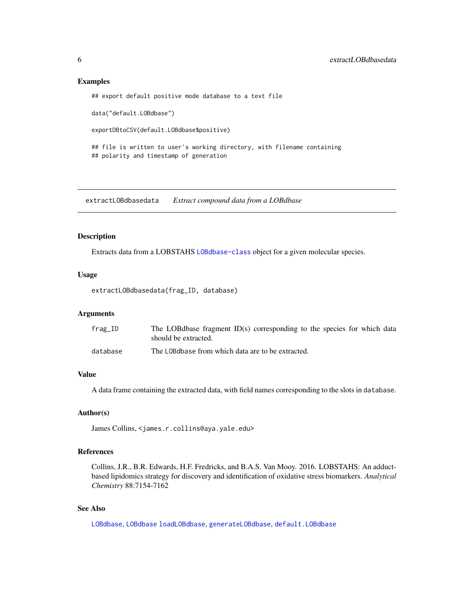# Examples

## export default positive mode database to a text file

data("default.LOBdbase")

exportDBtoCSV(default.LOBdbase\$positive)

## file is written to user's working directory, with filename containing ## polarity and timestamp of generation

extractLOBdbasedata *Extract compound data from a LOBdbase*

# Description

Extracts data from a LOBSTAHS [LOBdbase-class](#page-16-1) object for a given molecular species.

# Usage

```
extractLOBdbasedata(frag_ID, database)
```
# Arguments

| frag_ID  | The LOB dbase fragment $ID(s)$ corresponding to the species for which data<br>should be extracted. |
|----------|----------------------------------------------------------------------------------------------------|
| database | The LOB dbase from which data are to be extracted.                                                 |

# Value

A data frame containing the extracted data, with field names corresponding to the slots in database.

# Author(s)

James Collins, <james.r.collins@aya.yale.edu>

# References

Collins, J.R., B.R. Edwards, H.F. Fredricks, and B.A.S. Van Mooy. 2016. LOBSTAHS: An adductbased lipidomics strategy for discovery and identification of oxidative stress biomarkers. *Analytical Chemistry* 88:7154-7162

# See Also

[LOBdbase](#page-16-1), [LOBdbase](#page-14-1) [loadLOBdbase](#page-12-1), [generateLOBdbase](#page-6-1), [default.LOBdbase](#page-18-1)

<span id="page-5-0"></span>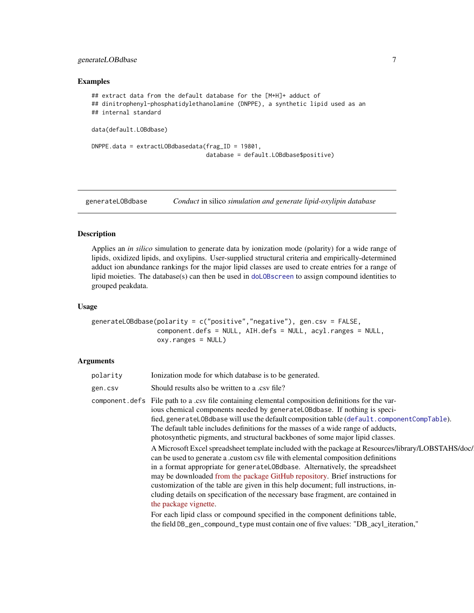# <span id="page-6-0"></span>generateLOBdbase 7

# Examples

```
## extract data from the default database for the [M+H]+ adduct of
## dinitrophenyl-phosphatidylethanolamine (DNPPE), a synthetic lipid used as an
## internal standard
data(default.LOBdbase)
DNPPE.data = extractLOBdbasedata(frag_ID = 19801,
                                 database = default.LOBdbase$positive)
```
<span id="page-6-1"></span>generateLOBdbase *Conduct* in silico *simulation and generate lipid-oxylipin database*

# Description

Applies an *in silico* simulation to generate data by ionization mode (polarity) for a wide range of lipids, oxidized lipids, and oxylipins. User-supplied structural criteria and empirically-determined adduct ion abundance rankings for the major lipid classes are used to create entries for a range of lipid moieties. The database(s) can then be used in [doLOBscreen](#page-1-1) to assign compound identities to grouped peakdata.

# Usage

```
generateLOBdbase(polarity = c("positive","negative"), gen.csv = FALSE,
                 component.defs = NULL, AIH.defs = NULL, acyl.ranges = NULL,
                 oxy.ranges = NULL)
```
# Arguments

| polarity       | Ionization mode for which database is to be generated.                                                                                                                                                                                                                                                                                                                                                                                                                                                                                                      |
|----------------|-------------------------------------------------------------------------------------------------------------------------------------------------------------------------------------------------------------------------------------------------------------------------------------------------------------------------------------------------------------------------------------------------------------------------------------------------------------------------------------------------------------------------------------------------------------|
| gen.csv        | Should results also be written to a .csy file?                                                                                                                                                                                                                                                                                                                                                                                                                                                                                                              |
| component.defs | File path to a .csv file containing elemental composition definitions for the var-<br>ious chemical components needed by generateLOBdbase. If nothing is speci-<br>fied, generateLOBdbase will use the default composition table (default.componentCompTable).<br>The default table includes definitions for the masses of a wide range of adducts,<br>photosynthetic pigments, and structural backbones of some major lipid classes.                                                                                                                       |
|                | A Microsoft Excel spreadsheet template included with the package at Resources/library/LOBSTAHS/doc/<br>can be used to generate a custom csy file with elemental composition definitions<br>in a format appropriate for generateLOBdbase. Alternatively, the spreadsheet<br>may be downloaded from the package GitHub repository. Brief instructions for<br>customization of the table are given in this help document; full instructions, in-<br>cluding details on specification of the necessary base fragment, are contained in<br>the package vignette. |
|                | For each lipid class or compound specified in the component definitions table,<br>the field DB_gen_compound_type must contain one of five values: "DB_acyl_iteration,"                                                                                                                                                                                                                                                                                                                                                                                      |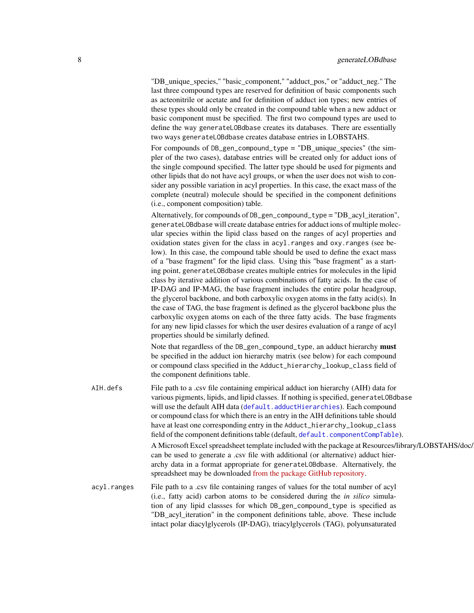<span id="page-7-0"></span>"DB\_unique\_species," "basic\_component," "adduct\_pos," or "adduct\_neg." The last three compound types are reserved for definition of basic components such as acteonitrile or acetate and for definition of adduct ion types; new entries of these types should only be created in the compound table when a new adduct or basic component must be specified. The first two compound types are used to define the way generateLOBdbase creates its databases. There are essentially two ways generateLOBdbase creates database entries in LOBSTAHS.

For compounds of DB\_gen\_compound\_type = "DB\_unique\_species" (the simpler of the two cases), database entries will be created only for adduct ions of the single compound specified. The latter type should be used for pigments and other lipids that do not have acyl groups, or when the user does not wish to consider any possible variation in acyl properties. In this case, the exact mass of the complete (neutral) molecule should be specified in the component definitions (i.e., component composition) table.

Alternatively, for compounds of DB\_gen\_compound\_type = "DB\_acyl\_iteration", generateLOBdbase will create database entries for adduct ions of multiple molecular species within the lipid class based on the ranges of acyl properties and oxidation states given for the class in acyl.ranges and oxy.ranges (see below). In this case, the compound table should be used to define the exact mass of a "base fragment" for the lipid class. Using this "base fragment" as a starting point, generateLOBdbase creates multiple entries for molecules in the lipid class by iterative addition of various combinations of fatty acids. In the case of IP-DAG and IP-MAG, the base fragment includes the entire polar headgroup, the glycerol backbone, and both carboxylic oxygen atoms in the fatty acid(s). In the case of TAG, the base fragment is defined as the glycerol backbone plus the carboxylic oxygen atoms on each of the three fatty acids. The base fragments for any new lipid classes for which the user desires evaluation of a range of acyl properties should be similarly defined.

Note that regardless of the DB\_gen\_compound\_type, an adduct hierarchy **must** be specified in the adduct ion hierarchy matrix (see below) for each compound or compound class specified in the Adduct\_hierarchy\_lookup\_class field of the component definitions table.

AIH.defs File path to a .csv file containing empirical adduct ion hierarchy (AIH) data for various pigments, lipids, and lipid classes. If nothing is specified, generateLOBdbase will use the default AIH data ([default.adductHierarchies](#page-18-1)). Each compound or compound class for which there is an entry in the AIH definitions table should have at least one corresponding entry in the Adduct\_hierarchy\_lookup\_class field of the component definitions table (default, [default.componentCompTable](#page-18-1)). A Microsoft Excel spreadsheet template included with the package at Resources/library/LOBSTAHS/doc/ can be used to generate a .csv file with additional (or alternative) adduct hierarchy data in a format appropriate for generateLOBdbase. Alternatively, the spreadsheet may be downloaded [from the package GitHub repository.](https://github.com/vanmooylipidomics/LOBSTAHS/blob/master/inst/doc/xlsx/LOBSTAHS_adductHierarchies.xlsx) acyl.ranges File path to a .csv file containing ranges of values for the total number of acyl (i.e., fatty acid) carbon atoms to be considered during the *in silico* simula-

tion of any lipid classses for which DB\_gen\_compound\_type is specified as "DB\_acyl\_iteration" in the component definitions table, above. These include intact polar diacylglycerols (IP-DAG), triacylglycerols (TAG), polyunsaturated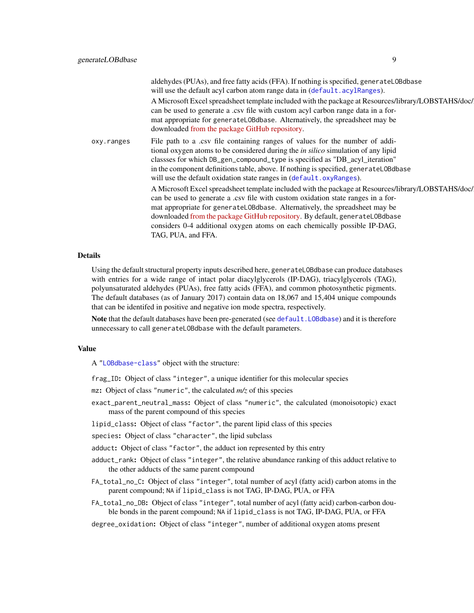<span id="page-8-0"></span>

|            | aldehydes (PUAs), and free fatty acids (FFA). If nothing is specified, generateL0Bdbase<br>will use the default acyl carbon atom range data in (default.acylRanges).<br>A Microsoft Excel spreadsheet template included with the package at Resources/library/LOBSTAHS/doc/<br>can be used to generate a .csv file with custom acyl carbon range data in a for-<br>mat appropriate for generateL0Bdbase. Alternatively, the spreadsheet may be           |
|------------|----------------------------------------------------------------------------------------------------------------------------------------------------------------------------------------------------------------------------------------------------------------------------------------------------------------------------------------------------------------------------------------------------------------------------------------------------------|
|            | downloaded from the package GitHub repository.                                                                                                                                                                                                                                                                                                                                                                                                           |
| oxy.ranges | File path to a .csv file containing ranges of values for the number of addi-<br>tional oxygen atoms to be considered during the <i>in silico</i> simulation of any lipid<br>classes for which DB_gen_compound_type is specified as "DB_acyl_iteration"<br>in the component definitions table, above. If nothing is specified, generateLOBdbase<br>will use the default oxidation state ranges in (default.oxyRanges).                                    |
|            | A Microsoft Excel spreadsheet template included with the package at Resources/library/LOBSTAHS/doc/<br>can be used to generate a .csv file with custom oxidation state ranges in a for-<br>mat appropriate for generateL0Bdbase. Alternatively, the spreadsheet may be<br>downloaded from the package GitHub repository. By default, generateL0Bdbase<br>considers 0-4 additional oxygen atoms on each chemically possible IP-DAG,<br>TAG, PUA, and FFA. |
|            |                                                                                                                                                                                                                                                                                                                                                                                                                                                          |

# Details

Using the default structural property inputs described here, generateLOBdbase can produce databases with entries for a wide range of intact polar diacylglycerols (IP-DAG), triacylglycerols (TAG), polyunsaturated aldehydes (PUAs), free fatty acids (FFA), and common photosynthetic pigments. The default databases (as of January 2017) contain data on 18,067 and 15,404 unique compounds that can be identifed in positive and negative ion mode spectra, respectively.

Note that the default databases have been pre-generated (see [default.LOBdbase](#page-18-1)) and it is therefore unnecessary to call generateLOBdbase with the default parameters.

# Value

A ["LOBdbase-class"](#page-16-1) object with the structure:

frag\_ID: Object of class "integer", a unique identifier for this molecular species

mz: Object of class "numeric", the calculated *m/z* of this species

- exact\_parent\_neutral\_mass: Object of class "numeric", the calculated (monoisotopic) exact mass of the parent compound of this species
- lipid\_class: Object of class "factor", the parent lipid class of this species

species: Object of class "character", the lipid subclass

adduct: Object of class "factor", the adduct ion represented by this entry

- adduct\_rank: Object of class "integer", the relative abundance ranking of this adduct relative to the other adducts of the same parent compound
- FA\_total\_no\_C: Object of class "integer", total number of acyl (fatty acid) carbon atoms in the parent compound; NA if lipid\_class is not TAG, IP-DAG, PUA, or FFA
- FA\_total\_no\_DB: Object of class "integer", total number of acyl (fatty acid) carbon-carbon double bonds in the parent compound; NA if lipid\_class is not TAG, IP-DAG, PUA, or FFA
- degree\_oxidation: Object of class "integer", number of additional oxygen atoms present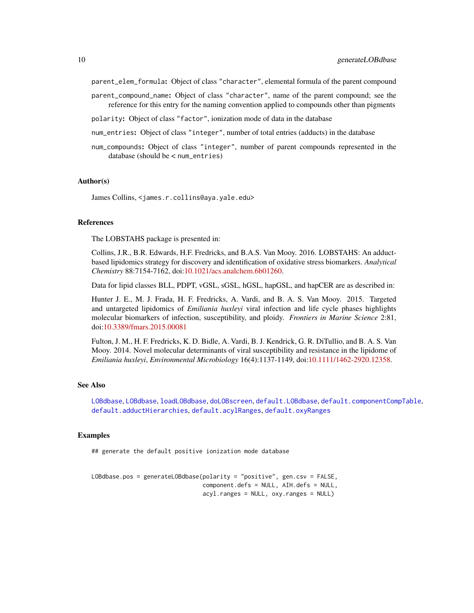<span id="page-9-0"></span>parent\_elem\_formula: Object of class "character", elemental formula of the parent compound

- parent\_compound\_name: Object of class "character", name of the parent compound; see the reference for this entry for the naming convention applied to compounds other than pigments
- polarity: Object of class "factor", ionization mode of data in the database
- num\_entries: Object of class "integer", number of total entries (adducts) in the database
- num\_compounds: Object of class "integer", number of parent compounds represented in the database (should be < num\_entries)

#### Author(s)

James Collins, <james.r.collins@aya.yale.edu>

# References

The LOBSTAHS package is presented in:

Collins, J.R., B.R. Edwards, H.F. Fredricks, and B.A.S. Van Mooy. 2016. LOBSTAHS: An adductbased lipidomics strategy for discovery and identification of oxidative stress biomarkers. *Analytical Chemistry* 88:7154-7162, doi[:10.1021/acs.analchem.6b01260.](http://dx.doi.org/10.1021/acs.analchem.6b01260)

Data for lipid classes BLL, PDPT, vGSL, sGSL, hGSL, hapGSL, and hapCER are as described in:

Hunter J. E., M. J. Frada, H. F. Fredricks, A. Vardi, and B. A. S. Van Mooy. 2015. Targeted and untargeted lipidomics of *Emiliania huxleyi* viral infection and life cycle phases highlights molecular biomarkers of infection, susceptibility, and ploidy. *Frontiers in Marine Science* 2:81, doi[:10.3389/fmars.2015.00081](http://dx.doi.org/10.3389/fmars.2015.00081)

Fulton, J. M., H. F. Fredricks, K. D. Bidle, A. Vardi, B. J. Kendrick, G. R. DiTullio, and B. A. S. Van Mooy. 2014. Novel molecular determinants of viral susceptibility and resistance in the lipidome of *Emiliania huxleyi*, *Environmental Microbiology* 16(4):1137-1149, doi[:10.1111/1462-2920.12358.](http://dx.doi.org/10.1111/1462-2920.12358)

#### See Also

[LOBdbase](#page-16-1), [LOBdbase](#page-14-1), [loadLOBdbase](#page-12-1), [doLOBscreen](#page-1-1), [default.LOBdbase](#page-18-1), [default.componentCompTable](#page-18-1), [default.adductHierarchies](#page-18-1), [default.acylRanges](#page-18-1), [default.oxyRanges](#page-18-1)

#### Examples

## generate the default positive ionization mode database

LOBdbase.pos = generateLOBdbase(polarity = "positive", gen.csv = FALSE, component.defs = NULL, AIH.defs = NULL, acyl.ranges = NULL, oxy.ranges = NULL)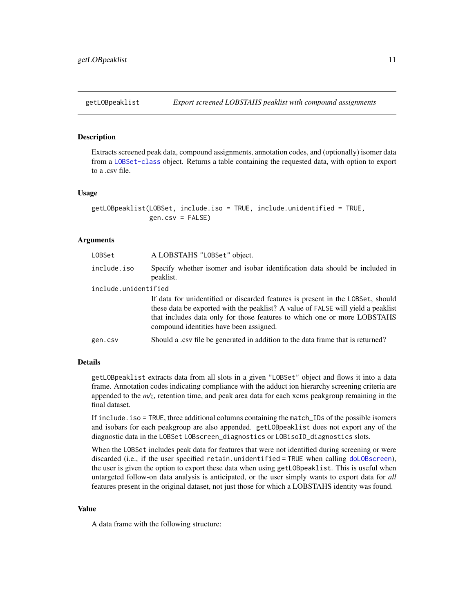# <span id="page-10-1"></span><span id="page-10-0"></span>**Description**

Extracts screened peak data, compound assignments, annotation codes, and (optionally) isomer data from a [LOBSet-class](#page-22-1) object. Returns a table containing the requested data, with option to export to a .csv file.

#### Usage

```
getLOBpeaklist(LOBSet, include.iso = TRUE, include.unidentified = TRUE,
              gen.csv = FALSE)
```
#### Arguments

| LOBSet               | A LOBSTAHS "LOBSet" object.                                                                                                                                                                                                                                                                |  |
|----------------------|--------------------------------------------------------------------------------------------------------------------------------------------------------------------------------------------------------------------------------------------------------------------------------------------|--|
| include.iso          | Specify whether isomer and isobar identification data should be included in<br>peaklist.                                                                                                                                                                                                   |  |
| include.unidentified |                                                                                                                                                                                                                                                                                            |  |
|                      | If data for unidentified or discarded features is present in the LOBSet, should<br>these data be exported with the peaklist? A value of FALSE will yield a peaklist<br>that includes data only for those features to which one or more LOBSTAHS<br>compound identities have been assigned. |  |
| gen.csv              | Should a .csv file be generated in addition to the data frame that is returned?                                                                                                                                                                                                            |  |

# Details

getLOBpeaklist extracts data from all slots in a given "LOBSet" object and flows it into a data frame. Annotation codes indicating compliance with the adduct ion hierarchy screening criteria are appended to the *m/z*, retention time, and peak area data for each xcms peakgroup remaining in the final dataset.

If include.iso = TRUE, three additional columns containing the match\_IDs of the possible isomers and isobars for each peakgroup are also appended. getLOBpeaklist does not export any of the diagnostic data in the LOBSet LOBscreen\_diagnostics or LOBisoID\_diagnostics slots.

When the LOBSet includes peak data for features that were not identified during screening or were discarded (i.e., if the user specified retain.unidentified = TRUE when calling [doLOBscreen](#page-1-1)), the user is given the option to export these data when using getLOBpeaklist. This is useful when untargeted follow-on data analysis is anticipated, or the user simply wants to export data for *all* features present in the original dataset, not just those for which a LOBSTAHS identity was found.

#### Value

A data frame with the following structure: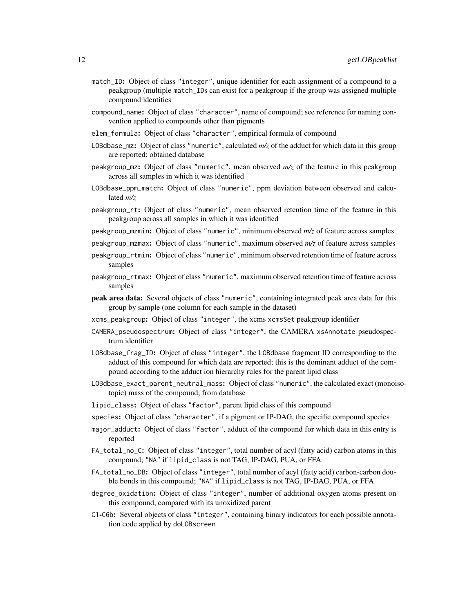- match\_ID: Object of class "integer", unique identifier for each assignment of a compound to a peakgroup (multiple match\_IDs can exist for a peakgroup if the group was assigned multiple compound identities
- compound\_name: Object of class "character", name of compound; see reference for naming convention applied to compounds other than pigments
- elem\_formula: Object of class "character", empirical formula of compound
- LOBdbase\_mz: Object of class "numeric", calculated *m/z* of the adduct for which data in this group are reported; obtained database
- peakgroup\_mz: Object of class "numeric", mean observed *m/z* of the feature in this peakgroup across all samples in which it was identified
- LOBdbase\_ppm\_match: Object of class "numeric", ppm deviation between observed and calculated *m/z*
- peakgroup\_rt: Object of class "numeric", mean observed retention time of the feature in this peakgroup across all samples in which it was identified
- peakgroup\_mzmin: Object of class "numeric", minimum observed *m/z* of feature across samples
- peakgroup\_mzmax: Object of class "numeric", maximum observed *m/z* of feature across samples
- peakgroup\_rtmin: Object of class "numeric", minimum observed retention time of feature across samples
- peakgroup\_rtmax: Object of class "numeric", maximum observed retention time of feature across samples
- peak area data: Several objects of class "numeric", containing integrated peak area data for this group by sample (one column for each sample in the dataset)
- xcms\_peakgroup: Object of class "integer", the xcms xcmsSet peakgroup identifier
- CAMERA\_pseudospectrum: Object of class "integer", the CAMERA xsAnnotate pseudospectrum identifier
- LOBdbase\_frag\_ID: Object of class "integer", the LOBdbase fragment ID corresponding to the adduct of this compound for which data are reported; this is the dominant adduct of the compound according to the adduct ion hierarchy rules for the parent lipid class
- LOBdbase\_exact\_parent\_neutral\_mass: Object of class "numeric", the calculated exact (monoisotopic) mass of the compound; from database
- lipid\_class: Object of class "factor", parent lipid class of this compound
- species: Object of class "character", if a pigment or IP-DAG, the specific compound species
- major\_adduct: Object of class "factor", adduct of the compound for which data in this entry is reported
- FA\_total\_no\_C: Object of class "integer", total number of acyl (fatty acid) carbon atoms in this compound; "NA" if lipid\_class is not TAG, IP-DAG, PUA, or FFA
- FA\_total\_no\_DB: Object of class "integer", total number of acyl (fatty acid) carbon-carbon double bonds in this compound; "NA" if lipid\_class is not TAG, IP-DAG, PUA, or FFA
- degree\_oxidation: Object of class "integer", number of additional oxygen atoms present on this compound, compared with its unoxidized parent
- C1-C6b: Several objects of class "integer", containing binary indicators for each possible annotation code applied by doLOBscreen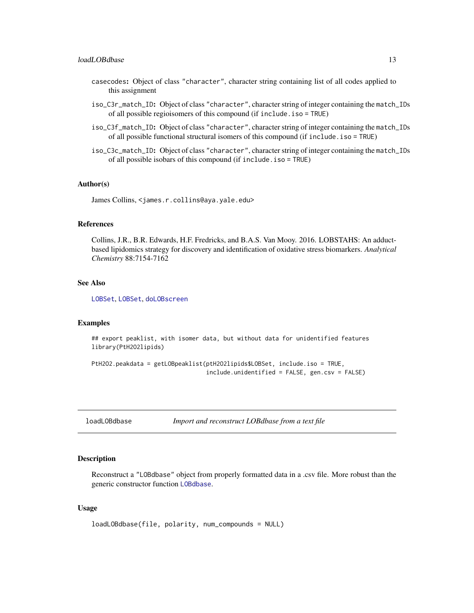- <span id="page-12-0"></span>casecodes: Object of class "character", character string containing list of all codes applied to this assignment
- iso\_C3r\_match\_ID: Object of class "character", character string of integer containing the match\_IDs of all possible regioisomers of this compound (if include.iso = TRUE)
- iso\_C3f\_match\_ID: Object of class "character", character string of integer containing the match\_IDs of all possible functional structural isomers of this compound (if include.iso = TRUE)
- iso\_C3c\_match\_ID: Object of class "character", character string of integer containing the match\_IDs of all possible isobars of this compound (if include.iso = TRUE)

# Author(s)

James Collins, <james.r.collins@aya.yale.edu>

# References

Collins, J.R., B.R. Edwards, H.F. Fredricks, and B.A.S. Van Mooy. 2016. LOBSTAHS: An adductbased lipidomics strategy for discovery and identification of oxidative stress biomarkers. *Analytical Chemistry* 88:7154-7162

# See Also

[LOBSet](#page-20-1), [LOBSet](#page-22-1), [doLOBscreen](#page-1-1)

#### Examples

```
## export peaklist, with isomer data, but without data for unidentified features
library(PtH2O2lipids)
```

```
PtH2O2.peakdata = getLOBpeaklist(ptH2O2lipids$LOBSet, include.iso = TRUE,
                                 include.unidentified = FALSE, gen.csv = FALSE)
```
<span id="page-12-1"></span>loadLOBdbase *Import and reconstruct LOBdbase from a text file*

#### Description

Reconstruct a "LOBdbase" object from properly formatted data in a .csv file. More robust than the generic constructor function [LOBdbase](#page-14-1).

# Usage

```
loadLOBdbase(file, polarity, num_compounds = NULL)
```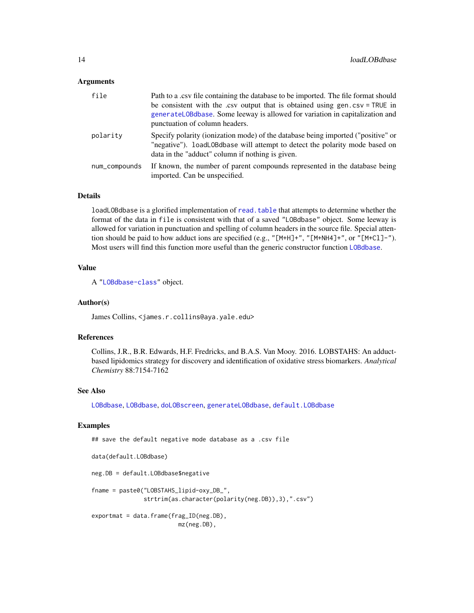# <span id="page-13-0"></span>Arguments

| file          | Path to a .csv file containing the database to be imported. The file format should<br>be consistent with the .csv output that is obtained using gen.csv = TRUE in<br>generateL0Bdbase. Some leeway is allowed for variation in capitalization and<br>punctuation of column headers. |
|---------------|-------------------------------------------------------------------------------------------------------------------------------------------------------------------------------------------------------------------------------------------------------------------------------------|
| polarity      | Specify polarity (ionization mode) of the database being imported ("positive" or<br>"negative"). loadLOBdbase will attempt to detect the polarity mode based on<br>data in the "adduct" column if nothing is given.                                                                 |
| num_compounds | If known, the number of parent compounds represented in the database being<br>imported. Can be unspecified.                                                                                                                                                                         |

#### Details

loadLOBdbase is a glorified implementation of [read.table](#page-0-0) that attempts to determine whether the format of the data in file is consistent with that of a saved "LOBdbase" object. Some leeway is allowed for variation in punctuation and spelling of column headers in the source file. Special attention should be paid to how adduct ions are specified (e.g., "[M+H]+", "[M+NH4]+", or "[M+Cl]-"). Most users will find this function more useful than the generic constructor function [LOBdbase](#page-14-1).

# Value

A ["LOBdbase-class"](#page-16-1) object.

#### Author(s)

James Collins, <james.r.collins@aya.yale.edu>

# References

Collins, J.R., B.R. Edwards, H.F. Fredricks, and B.A.S. Van Mooy. 2016. LOBSTAHS: An adductbased lipidomics strategy for discovery and identification of oxidative stress biomarkers. *Analytical Chemistry* 88:7154-7162

# See Also

[LOBdbase](#page-14-1), [LOBdbase](#page-16-1), [doLOBscreen](#page-1-1), [generateLOBdbase](#page-6-1), [default.LOBdbase](#page-18-1)

# Examples

## save the default negative mode database as a .csv file

```
data(default.LOBdbase)
neg.DB = default.LOBdbase$negative
fname = paste0("LOBSTAHS_lipid-oxy_DB_",
               strtrim(as.character(polarity(neg.DB)),3),".csv")
exportmat = data.frame(frag_ID(neg.DB),
                        mz(neg.DB),
```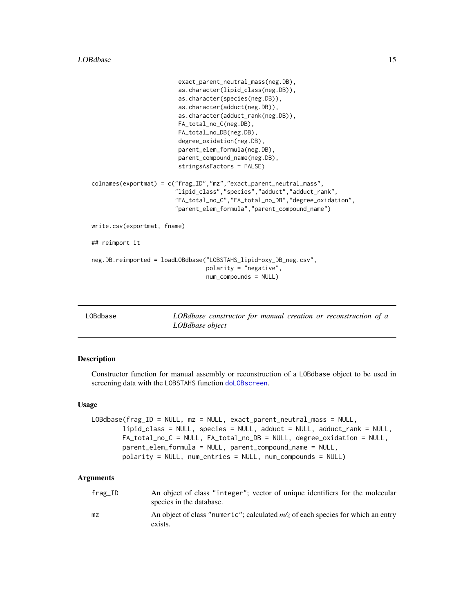```
exact_parent_neutral_mass(neg.DB),
                         as.character(lipid_class(neg.DB)),
                         as.character(species(neg.DB)),
                         as.character(adduct(neg.DB)),
                         as.character(adduct_rank(neg.DB)),
                         FA_total_no_C(neg.DB),
                         FA_total_no_DB(neg.DB),
                         degree_oxidation(neg.DB),
                         parent_elem_formula(neg.DB),
                         parent_compound_name(neg.DB),
                         stringsAsFactors = FALSE)
colnames(exportmat) = c("frag_ID","mz","exact_parent_neutral_mass",
                        "lipid_class","species","adduct","adduct_rank",
                        "FA_total_no_C","FA_total_no_DB","degree_oxidation",
                        "parent_elem_formula","parent_compound_name")
write.csv(exportmat, fname)
## reimport it
neg.DB.reimported = loadLOBdbase("LOBSTAHS_lipid-oxy_DB_neg.csv",
                                 polarity = "negative",
                                 num_compounds = NULL)
```
<span id="page-14-1"></span>

LOBdbase *LOBdbase constructor for manual creation or reconstruction of a LOBdbase object*

#### Description

Constructor function for manual assembly or reconstruction of a LOBdbase object to be used in screening data with the LOBSTAHS function [doLOBscreen](#page-1-1).

#### Usage

```
LOBdbase(frag_ID = NULL, mz = NULL, exact_parent_neutral_mass = NULL,
        lipid_class = NULL, species = NULL, adduct = NULL, adduct_rank = NULL,
        FA_total_no_C = NULL, FA_total_no_DB = NULL, degree_oxidation = NULL,
        parent_elem_formula = NULL, parent_compound_name = NULL,
        polarity = NULL, num_entries = NULL, num_compounds = NULL)
```
# Arguments

| $frag\_ID$ | An object of class "integer"; vector of unique identifiers for the molecular<br>species in the database. |
|------------|----------------------------------------------------------------------------------------------------------|
| mz         | An object of class "numeric"; calculated $m/z$ of each species for which an entry<br>exists.             |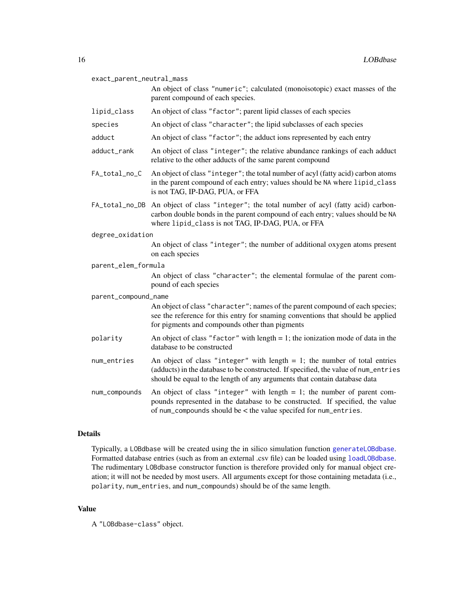<span id="page-15-0"></span>

| exact_parent_neutral_mass<br>An object of class "numeric"; calculated (monoisotopic) exact masses of the<br>parent compound of each species. |                                                                                                                                                                                                                                                  |  |
|----------------------------------------------------------------------------------------------------------------------------------------------|--------------------------------------------------------------------------------------------------------------------------------------------------------------------------------------------------------------------------------------------------|--|
| lipid_class                                                                                                                                  | An object of class "factor"; parent lipid classes of each species                                                                                                                                                                                |  |
| species                                                                                                                                      | An object of class "character"; the lipid subclasses of each species                                                                                                                                                                             |  |
| adduct                                                                                                                                       | An object of class "factor"; the adduct ions represented by each entry                                                                                                                                                                           |  |
| adduct_rank                                                                                                                                  | An object of class "integer"; the relative abundance rankings of each adduct<br>relative to the other adducts of the same parent compound                                                                                                        |  |
| FA_total_no_C                                                                                                                                | An object of class "integer"; the total number of acyl (fatty acid) carbon atoms<br>in the parent compound of each entry; values should be NA where lipid_class<br>is not TAG, IP-DAG, PUA, or FFA                                               |  |
|                                                                                                                                              | FA_total_no_DB An object of class "integer"; the total number of acyl (fatty acid) carbon-<br>carbon double bonds in the parent compound of each entry; values should be NA<br>where lipid_class is not TAG, IP-DAG, PUA, or FFA                 |  |
| degree_oxidation                                                                                                                             |                                                                                                                                                                                                                                                  |  |
|                                                                                                                                              | An object of class "integer"; the number of additional oxygen atoms present<br>on each species                                                                                                                                                   |  |
| parent_elem_formula                                                                                                                          |                                                                                                                                                                                                                                                  |  |
|                                                                                                                                              | An object of class "character"; the elemental formulae of the parent com-<br>pound of each species                                                                                                                                               |  |
| parent_compound_name                                                                                                                         |                                                                                                                                                                                                                                                  |  |
|                                                                                                                                              | An object of class "character"; names of the parent compound of each species;<br>see the reference for this entry for snaming conventions that should be applied<br>for pigments and compounds other than pigments                               |  |
| polarity                                                                                                                                     | An object of class "factor" with length $= 1$ ; the ionization mode of data in the<br>database to be constructed                                                                                                                                 |  |
| num_entries                                                                                                                                  | An object of class "integer" with length $= 1$ ; the number of total entries<br>(adducts) in the database to be constructed. If specified, the value of num_entries<br>should be equal to the length of any arguments that contain database data |  |
| num_compounds                                                                                                                                | An object of class "integer" with length $= 1$ ; the number of parent com-<br>pounds represented in the database to be constructed. If specified, the value<br>of num_compounds should be < the value specifed for num_entries.                  |  |

# Details

Typically, a LOBdbase will be created using the in silico simulation function [generateLOBdbase](#page-6-1). Formatted database entries (such as from an external .csv file) can be loaded using [loadLOBdbase](#page-12-1). The rudimentary LOBdbase constructor function is therefore provided only for manual object creation; it will not be needed by most users. All arguments except for those containing metadata (i.e., polarity, num\_entries, and num\_compounds) should be of the same length.

# Value

A "LOBdbase-class" object.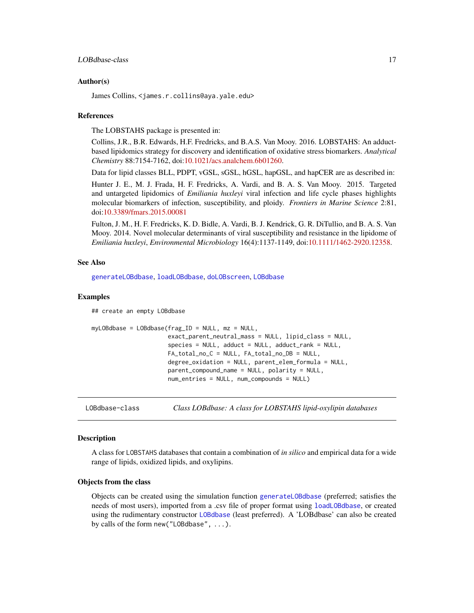#### <span id="page-16-0"></span>LOBdbase-class 17

#### Author(s)

James Collins, <james.r.collins@aya.yale.edu>

#### References

The LOBSTAHS package is presented in:

Collins, J.R., B.R. Edwards, H.F. Fredricks, and B.A.S. Van Mooy. 2016. LOBSTAHS: An adductbased lipidomics strategy for discovery and identification of oxidative stress biomarkers. *Analytical Chemistry* 88:7154-7162, doi[:10.1021/acs.analchem.6b01260.](http://dx.doi.org/10.1021/acs.analchem.6b01260)

Data for lipid classes BLL, PDPT, vGSL, sGSL, hGSL, hapGSL, and hapCER are as described in:

Hunter J. E., M. J. Frada, H. F. Fredricks, A. Vardi, and B. A. S. Van Mooy. 2015. Targeted and untargeted lipidomics of *Emiliania huxleyi* viral infection and life cycle phases highlights molecular biomarkers of infection, susceptibility, and ploidy. *Frontiers in Marine Science* 2:81, doi[:10.3389/fmars.2015.00081](http://dx.doi.org/10.3389/fmars.2015.00081)

Fulton, J. M., H. F. Fredricks, K. D. Bidle, A. Vardi, B. J. Kendrick, G. R. DiTullio, and B. A. S. Van Mooy. 2014. Novel molecular determinants of viral susceptibility and resistance in the lipidome of *Emiliania huxleyi*, *Environmental Microbiology* 16(4):1137-1149, doi[:10.1111/1462-2920.12358.](http://dx.doi.org/10.1111/1462-2920.12358)

#### See Also

[generateLOBdbase](#page-6-1), [loadLOBdbase](#page-12-1), [doLOBscreen](#page-1-1), [LOBdbase](#page-14-1)

# Examples

## create an empty LOBdbase

```
myLOBdbase = LOBdbase(frag_ID = NULL, mz = NULL,
                      exact_parent_neutral_mass = NULL, lipid_class = NULL,
                      species = NULL, adduct = NULL, adduct\_rank = NULL,
                      FA_total_no_C = NULL, FA_total_no_DB = NULL,
                      degree_oxidation = NULL, parent_elem_formula = NULL,
                      parent_compound_name = NULL, polarity = NULL,
                      num_entries = NULL, num_compounds = NULL)
```
<span id="page-16-1"></span>LOBdbase-class *Class LOBdbase: A class for LOBSTAHS lipid-oxylipin databases*

# **Description**

A class for LOBSTAHS databases that contain a combination of *in silico* and empirical data for a wide range of lipids, oxidized lipids, and oxylipins.

# Objects from the class

Objects can be created using the simulation function [generateLOBdbase](#page-6-1) (preferred; satisfies the needs of most users), imported from a .csv file of proper format using [loadLOBdbase](#page-12-1), or created using the rudimentary constructor [LOBdbase](#page-14-1) (least preferred). A 'LOBdbase' can also be created by calls of the form new("LOBdbase", ...).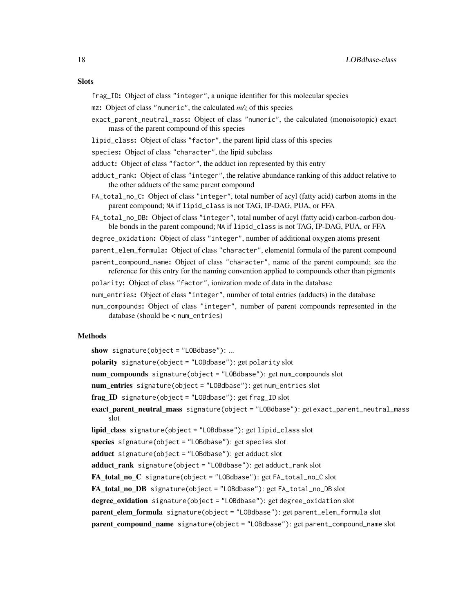# **Slots**

- frag\_ID: Object of class "integer", a unique identifier for this molecular species
- mz: Object of class "numeric", the calculated *m/z* of this species
- exact\_parent\_neutral\_mass: Object of class "numeric", the calculated (monoisotopic) exact mass of the parent compound of this species
- lipid\_class: Object of class "factor", the parent lipid class of this species
- species: Object of class "character", the lipid subclass
- adduct: Object of class "factor", the adduct ion represented by this entry
- adduct\_rank: Object of class "integer", the relative abundance ranking of this adduct relative to the other adducts of the same parent compound
- FA\_total\_no\_C: Object of class "integer", total number of acyl (fatty acid) carbon atoms in the parent compound; NA if lipid\_class is not TAG, IP-DAG, PUA, or FFA
- FA\_total\_no\_DB: Object of class "integer", total number of acyl (fatty acid) carbon-carbon double bonds in the parent compound; NA if lipid\_class is not TAG, IP-DAG, PUA, or FFA
- degree\_oxidation: Object of class "integer", number of additional oxygen atoms present
- parent\_elem\_formula: Object of class "character", elemental formula of the parent compound
- parent\_compound\_name: Object of class "character", name of the parent compound; see the reference for this entry for the naming convention applied to compounds other than pigments
- polarity: Object of class "factor", ionization mode of data in the database
- num\_entries: Object of class "integer", number of total entries (adducts) in the database
- num\_compounds: Object of class "integer", number of parent compounds represented in the database (should be < num\_entries)

# Methods

show signature(object = "LOBdbase"): ... polarity signature(object = "LOBdbase"): get polarity slot num\_compounds signature(object = "LOBdbase"): get num\_compounds slot num\_entries signature(object = "LOBdbase"): get num\_entries slot frag ID signature(object = "LOBdbase"): get frag\_ID slot exact\_parent\_neutral\_mass signature(object = "LOBdbase"): get exact\_parent\_neutral\_mass slot lipid\_class signature(object = "LOBdbase"): get lipid\_class slot species signature(object = "LOBdbase"): get species slot adduct signature(object = "LOBdbase"): get adduct slot adduct rank signature(object = "LOBdbase"): get adduct\_rank slot FA\_total\_no\_C signature(object = "LOBdbase"): get FA\_total\_no\_C slot FA\_total\_no\_DB signature(object = "LOBdbase"): get FA\_total\_no\_DB slot degree\_oxidation signature(object = "LOBdbase"): get degree\_oxidation slot parent elem formula signature(object = "LOBdbase"): get parent\_elem\_formula slot parent\_compound\_name signature(object = "LOBdbase"): get parent\_compound\_name slot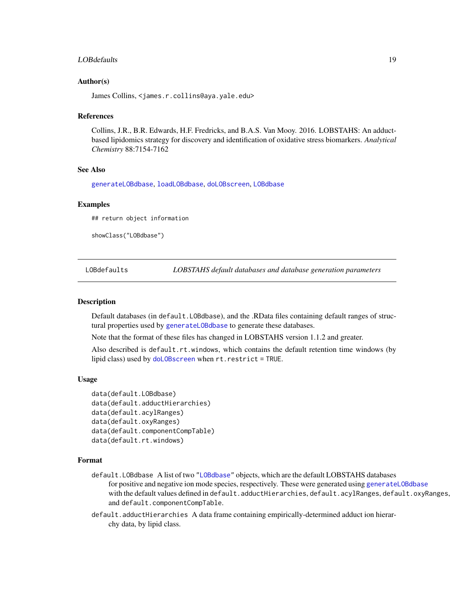# <span id="page-18-0"></span>LOBdefaults 19

# Author(s)

James Collins, <james.r.collins@aya.yale.edu>

#### References

Collins, J.R., B.R. Edwards, H.F. Fredricks, and B.A.S. Van Mooy. 2016. LOBSTAHS: An adductbased lipidomics strategy for discovery and identification of oxidative stress biomarkers. *Analytical Chemistry* 88:7154-7162

# See Also

[generateLOBdbase](#page-6-1), [loadLOBdbase](#page-12-1), [doLOBscreen](#page-1-1), [LOBdbase](#page-14-1)

# Examples

## return object information

showClass("LOBdbase")

LOBdefaults *LOBSTAHS default databases and database generation parameters*

#### <span id="page-18-1"></span>Description

Default databases (in default.LOBdbase), and the .RData files containing default ranges of structural properties used by [generateLOBdbase](#page-6-1) to generate these databases.

Note that the format of these files has changed in LOBSTAHS version 1.1.2 and greater.

Also described is default.rt.windows, which contains the default retention time windows (by lipid class) used by [doLOBscreen](#page-1-1) when rt.restrict = TRUE.

# Usage

```
data(default.LOBdbase)
data(default.adductHierarchies)
data(default.acylRanges)
data(default.oxyRanges)
data(default.componentCompTable)
data(default.rt.windows)
```
# Format

default.LOBdbase A list of two ["LOBdbase"](#page-14-1) objects, which are the default LOBSTAHS databases for positive and negative ion mode species, respectively. These were generated using generateL0Bdbase with the default values defined in default.adductHierarchies, default.acylRanges, default.oxyRanges, and default.componentCompTable.

default.adductHierarchies A data frame containing empirically-determined adduct ion hierarchy data, by lipid class.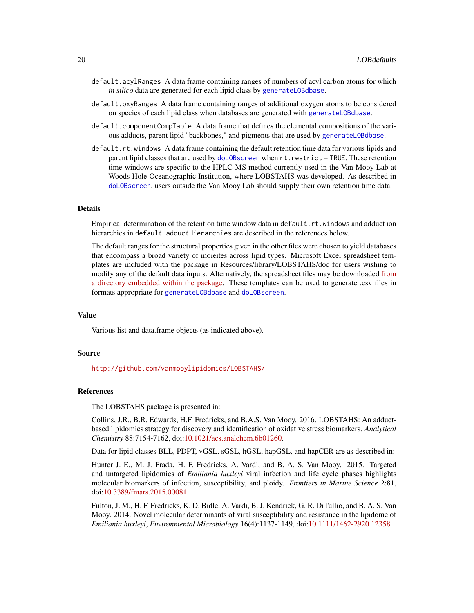- default.acylRanges A data frame containing ranges of numbers of acyl carbon atoms for which *in silico* data are generated for each lipid class by [generateLOBdbase](#page-6-1).
- default.oxyRanges A data frame containing ranges of additional oxygen atoms to be considered on species of each lipid class when databases are generated with [generateLOBdbase](#page-6-1).
- default.componentCompTable A data frame that defines the elemental compositions of the various adducts, parent lipid "backbones," and pigments that are used by [generateLOBdbase](#page-6-1).
- default.rt.windows A data frame containing the default retention time data for various lipids and parent lipid classes that are used by [doLOBscreen](#page-1-1) when rt.restrict = TRUE. These retention time windows are specific to the HPLC-MS method currently used in the Van Mooy Lab at Woods Hole Oceanographic Institution, where LOBSTAHS was developed. As described in [doLOBscreen](#page-1-1), users outside the Van Mooy Lab should supply their own retention time data.

# Details

Empirical determination of the retention time window data in default.rt.windows and adduct ion hierarchies in default.adductHierarchies are described in the references below.

The default ranges for the structural properties given in the other files were chosen to yield databases that encompass a broad variety of moieites across lipid types. Microsoft Excel spreadsheet templates are included with the package in Resources/library/LOBSTAHS/doc for users wishing to modify any of the default data inputs. Alternatively, the spreadsheet files may be downloaded [from](https://github.com/vanmooylipidomics/LOBSTAHS/tree/master/inst/doc/xlsx) [a directory embedded within the package.](https://github.com/vanmooylipidomics/LOBSTAHS/tree/master/inst/doc/xlsx) These templates can be used to generate .csv files in formats appropriate for [generateLOBdbase](#page-6-1) and [doLOBscreen](#page-1-1).

# Value

Various list and data.frame objects (as indicated above).

#### Source

<http://github.com/vanmooylipidomics/LOBSTAHS/>

# **References**

The LOBSTAHS package is presented in:

Collins, J.R., B.R. Edwards, H.F. Fredricks, and B.A.S. Van Mooy. 2016. LOBSTAHS: An adductbased lipidomics strategy for discovery and identification of oxidative stress biomarkers. *Analytical Chemistry* 88:7154-7162, doi[:10.1021/acs.analchem.6b01260.](http://dx.doi.org/10.1021/acs.analchem.6b01260)

Data for lipid classes BLL, PDPT, vGSL, sGSL, hGSL, hapGSL, and hapCER are as described in:

Hunter J. E., M. J. Frada, H. F. Fredricks, A. Vardi, and B. A. S. Van Mooy. 2015. Targeted and untargeted lipidomics of *Emiliania huxleyi* viral infection and life cycle phases highlights molecular biomarkers of infection, susceptibility, and ploidy. *Frontiers in Marine Science* 2:81, doi[:10.3389/fmars.2015.00081](http://dx.doi.org/10.3389/fmars.2015.00081)

Fulton, J. M., H. F. Fredricks, K. D. Bidle, A. Vardi, B. J. Kendrick, G. R. DiTullio, and B. A. S. Van Mooy. 2014. Novel molecular determinants of viral susceptibility and resistance in the lipidome of *Emiliania huxleyi*, *Environmental Microbiology* 16(4):1137-1149, doi[:10.1111/1462-2920.12358.](http://dx.doi.org/10.1111/1462-2920.12358)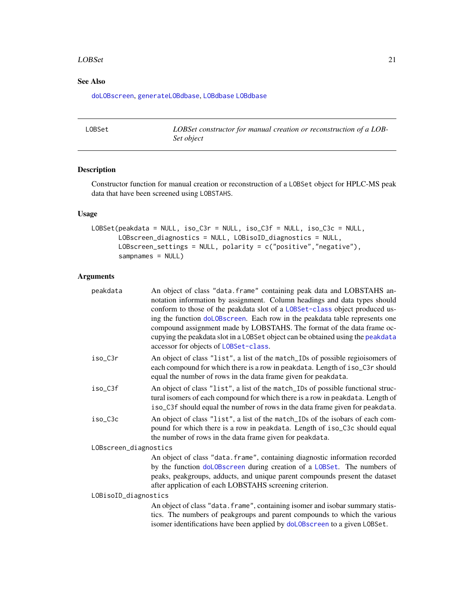#### <span id="page-20-0"></span>LOBSet 21

# See Also

[doLOBscreen](#page-1-1), [generateLOBdbase](#page-6-1), [LOBdbase](#page-16-1) [LOBdbase](#page-14-1)

<span id="page-20-1"></span>

| LOBSet | LOBSet constructor for manual creation or reconstruction of a LOB- |
|--------|--------------------------------------------------------------------|
|        | Set object                                                         |

# Description

Constructor function for manual creation or reconstruction of a LOBSet object for HPLC-MS peak data that have been screened using LOBSTAHS.

# Usage

```
LOBSet(peakdata = NULL, iso_C3r = NULL, iso_C3f = NULL, iso_C3c = NULL,
      LOBscreen_diagnostics = NULL, LOBisoID_diagnostics = NULL,
      LOBscreen_settings = NULL, polarity = c("positive","negative"),
       sampnames = NULL)
```
# Arguments

| peakdata              | An object of class "data. frame" containing peak data and LOBSTAHS an-<br>notation information by assignment. Column headings and data types should<br>conform to those of the peakdata slot of a LOBSet-class object produced us-<br>ing the function doLOBscreen. Each row in the peakdata table represents one<br>compound assignment made by LOBSTAHS. The format of the data frame oc-<br>cupying the peakdata slot in a LOBSet object can be obtained using the peakdata<br>accessor for objects of LOBSet-class. |  |
|-----------------------|-------------------------------------------------------------------------------------------------------------------------------------------------------------------------------------------------------------------------------------------------------------------------------------------------------------------------------------------------------------------------------------------------------------------------------------------------------------------------------------------------------------------------|--|
| iso C3r               | An object of class "list", a list of the match_IDs of possible regioisomers of<br>each compound for which there is a row in peakdata. Length of iso_C3r should<br>equal the number of rows in the data frame given for peakdata.                                                                                                                                                                                                                                                                                        |  |
| iso_C3f               | An object of class "list", a list of the match_IDs of possible functional struc-<br>tural isomers of each compound for which there is a row in peakdata. Length of<br>iso_C3f should equal the number of rows in the data frame given for peakdata.                                                                                                                                                                                                                                                                     |  |
| iso_C3c               | An object of class "list", a list of the match_IDs of the isobars of each com-<br>pound for which there is a row in peakdata. Length of iso_C3c should equal<br>the number of rows in the data frame given for peakdata.                                                                                                                                                                                                                                                                                                |  |
| LOBscreen_diagnostics |                                                                                                                                                                                                                                                                                                                                                                                                                                                                                                                         |  |
|                       | An object of class "data. frame", containing diagnostic information recorded<br>by the function doLOBscreen during creation of a LOBSet. The numbers of<br>peaks, peakgroups, adducts, and unique parent compounds present the dataset<br>after application of each LOBSTAHS screening criterion.                                                                                                                                                                                                                       |  |
| LOBisoID_diagnostics  |                                                                                                                                                                                                                                                                                                                                                                                                                                                                                                                         |  |
|                       | An object of class "data. frame", containing isomer and isobar summary statis-<br>tics. The numbers of peakgroups and parent compounds to which the various<br>isomer identifications have been applied by doLOBscreen to a given LOBSet.                                                                                                                                                                                                                                                                               |  |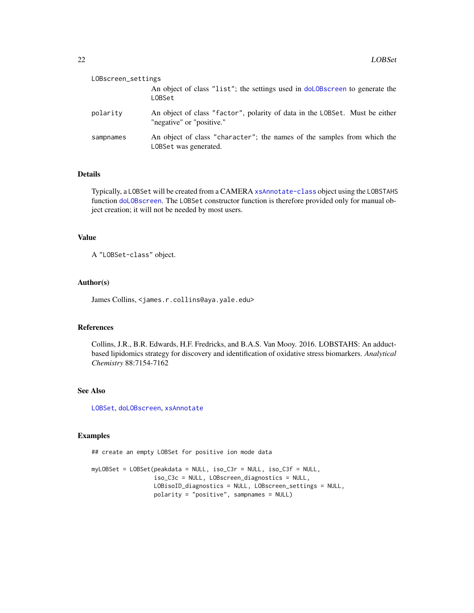<span id="page-21-0"></span>

| LOBscreen_settings |                                                                                                          |  |
|--------------------|----------------------------------------------------------------------------------------------------------|--|
|                    | An object of class "list"; the settings used in doloBscreen to generate the<br>LOBSet                    |  |
| polarity           | An object of class "factor", polarity of data in the LOBSet. Must be either<br>"negative" or "positive." |  |
| sampnames          | An object of class "character"; the names of the samples from which the<br>LOBSet was generated.         |  |

# Details

Typically, a LOBSet will be created from a CAMERA [xsAnnotate-class](#page-0-0) object using the LOBSTAHS function [doLOBscreen](#page-1-1). The LOBSet constructor function is therefore provided only for manual object creation; it will not be needed by most users.

# Value

A "LOBSet-class" object.

# Author(s)

James Collins, <james.r.collins@aya.yale.edu>

# References

Collins, J.R., B.R. Edwards, H.F. Fredricks, and B.A.S. Van Mooy. 2016. LOBSTAHS: An adductbased lipidomics strategy for discovery and identification of oxidative stress biomarkers. *Analytical Chemistry* 88:7154-7162

# See Also

[LOBSet](#page-20-1), [doLOBscreen](#page-1-1), [xsAnnotate](#page-0-0)

#### Examples

## create an empty LOBSet for positive ion mode data

myLOBSet = LOBSet(peakdata = NULL, iso\_C3r = NULL, iso\_C3f = NULL, iso\_C3c = NULL, LOBscreen\_diagnostics = NULL, LOBisoID\_diagnostics = NULL, LOBscreen\_settings = NULL, polarity = "positive", sampnames = NULL)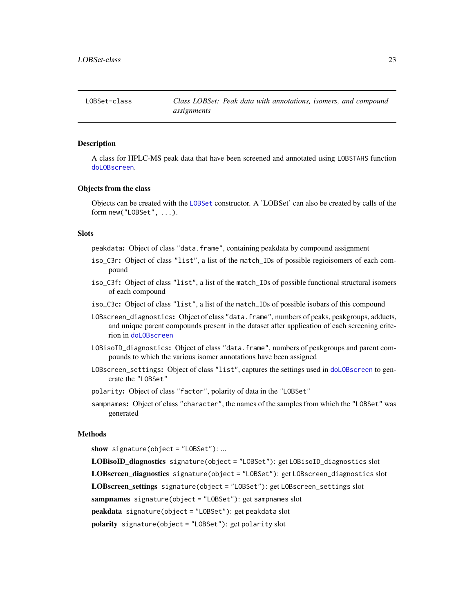# <span id="page-22-2"></span><span id="page-22-1"></span><span id="page-22-0"></span>Description

A class for HPLC-MS peak data that have been screened and annotated using LOBSTAHS function [doLOBscreen](#page-1-1).

#### Objects from the class

Objects can be created with the [LOBSet](#page-20-1) constructor. A 'LOBSet' can also be created by calls of the form new("LOBSet", ...).

#### **Slots**

peakdata: Object of class "data.frame", containing peakdata by compound assignment

- iso\_C3r: Object of class "list", a list of the match\_IDs of possible regioisomers of each compound
- iso\_C3f: Object of class "list", a list of the match\_IDs of possible functional structural isomers of each compound
- iso\_C3c: Object of class "list", a list of the match\_IDs of possible isobars of this compound
- LOBscreen\_diagnostics: Object of class "data.frame", numbers of peaks, peakgroups, adducts, and unique parent compounds present in the dataset after application of each screening criterion in [doLOBscreen](#page-1-1)
- LOBisoID\_diagnostics: Object of class "data.frame", numbers of peakgroups and parent compounds to which the various isomer annotations have been assigned
- LOBscreen\_settings: Object of class "list", captures the settings used in [doLOBscreen](#page-1-1) to generate the "LOBSet"
- polarity: Object of class "factor", polarity of data in the "LOBSet"
- sampnames: Object of class "character", the names of the samples from which the "LOBSet" was generated

# Methods

show signature(object = "LOBSet"): ...

LOBisoID\_diagnostics signature(object = "LOBSet"): get LOBisoID\_diagnostics slot LOBscreen\_diagnostics signature(object = "LOBSet"): get LOBscreen\_diagnostics slot LOBscreen\_settings signature(object = "LOBSet"): get LOBscreen\_settings slot sampnames signature(object = "LOBSet"): get sampnames slot peakdata signature(object = "LOBSet"): get peakdata slot polarity signature(object = "LOBSet"): get polarity slot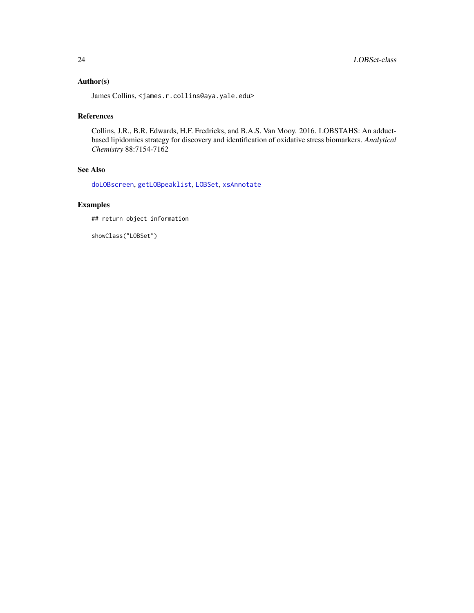# <span id="page-23-0"></span>Author(s)

James Collins, <james.r.collins@aya.yale.edu>

# References

Collins, J.R., B.R. Edwards, H.F. Fredricks, and B.A.S. Van Mooy. 2016. LOBSTAHS: An adductbased lipidomics strategy for discovery and identification of oxidative stress biomarkers. *Analytical Chemistry* 88:7154-7162

# See Also

[doLOBscreen](#page-1-1), [getLOBpeaklist](#page-10-1), [LOBSet](#page-20-1), [xsAnnotate](#page-0-0)

# Examples

## return object information

showClass("LOBSet")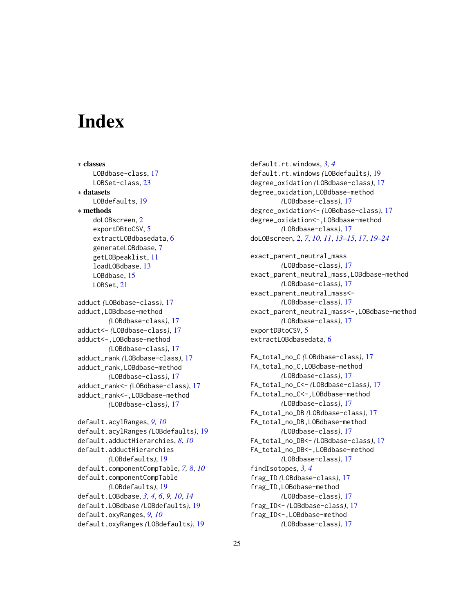# <span id="page-24-0"></span>**Index**

```
∗ classes
    LOBdbase-class, 17
    LOBSet-class, 23
∗ datasets
    LOBdefaults, 19
∗ methods
    doLOBscreen, 2
    exportDBtoCSV, 5
    extractLOBdbasedata, 6
    generateLOBdbase, 7
    getLOBpeaklist, 11
    loadLOBdbase, 13
    LOBdbase, 15
    LOBSet, 21
adduct (LOBdbase-class), 17
adduct,LOBdbase-method
        (LOBdbase-class), 17
adduct<- (LOBdbase-class), 17
adduct<-,LOBdbase-method
        (LOBdbase-class), 17
adduct_rank (LOBdbase-class), 17
adduct_rank,LOBdbase-method
        (LOBdbase-class), 17
adduct_rank<- (LOBdbase-class), 17
adduct_rank<-,LOBdbase-method
        (LOBdbase-class), 17
default.acylRanges, 9, 10
default.acylRanges (LOBdefaults), 19
default.adductHierarchies, 8, 10
default.adductHierarchies
        (LOBdefaults), 19
default.componentCompTable, 7, 8, 10
default.componentCompTable
        (LOBdefaults), 19
default.LOBdbase, 3, 4, 6, 9, 10, 14
default.LOBdbase (LOBdefaults), 19
default.oxyRanges, 9, 10
default.oxyRanges (LOBdefaults), 19
```

```
default.rt.windows, 3, 4
default.rt.windows (LOBdefaults), 19
degree_oxidation (LOBdbase-class), 17
degree_oxidation,LOBdbase-method
        (LOBdbase-class), 17
degree_oxidation<- (LOBdbase-class), 17
degree_oxidation<-,LOBdbase-method
        (LOBdbase-class), 17
doLOBscreen, 2, 7, 10, 11, 13–15, 17, 19–24
```
exact\_parent\_neutral\_mass *(*LOBdbase-class*)*, [17](#page-16-0) exact\_parent\_neutral\_mass,LOBdbase-method *(*LOBdbase-class*)*, [17](#page-16-0) exact\_parent\_neutral\_mass<- *(*LOBdbase-class*)*, [17](#page-16-0) exact\_parent\_neutral\_mass<-,LOBdbase-method *(*LOBdbase-class*)*, [17](#page-16-0) exportDBtoCSV, [5](#page-4-0) extractLOBdbasedata, [6](#page-5-0)

FA\_total\_no\_C *(*LOBdbase-class*)*, [17](#page-16-0) FA\_total\_no\_C,LOBdbase-method *(*LOBdbase-class*)*, [17](#page-16-0) FA\_total\_no\_C<- *(*LOBdbase-class*)*, [17](#page-16-0) FA\_total\_no\_C<-,LOBdbase-method *(*LOBdbase-class*)*, [17](#page-16-0) FA\_total\_no\_DB *(*LOBdbase-class*)*, [17](#page-16-0) FA\_total\_no\_DB,LOBdbase-method *(*LOBdbase-class*)*, [17](#page-16-0) FA\_total\_no\_DB<- *(*LOBdbase-class*)*, [17](#page-16-0) FA\_total\_no\_DB<-,LOBdbase-method *(*LOBdbase-class*)*, [17](#page-16-0) findIsotopes, *[3,](#page-2-0) [4](#page-3-0)* frag\_ID *(*LOBdbase-class*)*, [17](#page-16-0) frag\_ID,LOBdbase-method *(*LOBdbase-class*)*, [17](#page-16-0) frag\_ID<- *(*LOBdbase-class*)*, [17](#page-16-0) frag\_ID<-,LOBdbase-method *(*LOBdbase-class*)*, [17](#page-16-0)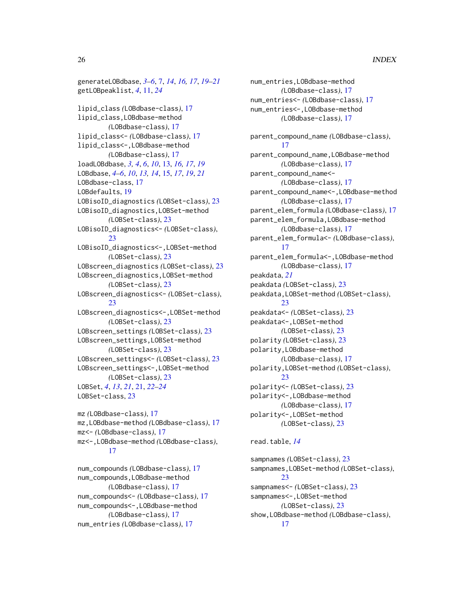generateLOBdbase, *[3](#page-2-0)[–6](#page-5-0)*, [7,](#page-6-0) *[14](#page-13-0)*, *[16,](#page-15-0) [17](#page-16-0)*, *[19–](#page-18-0)[21](#page-20-0)* getLOBpeaklist, *[4](#page-3-0)*, [11,](#page-10-0) *[24](#page-23-0)* lipid\_class *(*LOBdbase-class*)*, [17](#page-16-0) lipid\_class,LOBdbase-method *(*LOBdbase-class*)*, [17](#page-16-0) lipid\_class<- *(*LOBdbase-class*)*, [17](#page-16-0) lipid\_class<-,LOBdbase-method *(*LOBdbase-class*)*, [17](#page-16-0) loadLOBdbase, *[3,](#page-2-0) [4](#page-3-0)*, *[6](#page-5-0)*, *[10](#page-9-0)*, [13,](#page-12-0) *[16,](#page-15-0) [17](#page-16-0)*, *[19](#page-18-0)* LOBdbase, *[4](#page-3-0)[–6](#page-5-0)*, *[10](#page-9-0)*, *[13,](#page-12-0) [14](#page-13-0)*, [15,](#page-14-0) *[17](#page-16-0)*, *[19](#page-18-0)*, *[21](#page-20-0)* LOBdbase-class, [17](#page-16-0) LOBdefaults, [19](#page-18-0) LOBisoID\_diagnostics *(*LOBSet-class*)*, [23](#page-22-0) LOBisoID\_diagnostics,LOBSet-method *(*LOBSet-class*)*, [23](#page-22-0) LOBisoID\_diagnostics<- *(*LOBSet-class*)*, [23](#page-22-0) LOBisoID\_diagnostics<-,LOBSet-method *(*LOBSet-class*)*, [23](#page-22-0) LOBscreen\_diagnostics *(*LOBSet-class*)*, [23](#page-22-0) LOBscreen\_diagnostics,LOBSet-method *(*LOBSet-class*)*, [23](#page-22-0) LOBscreen\_diagnostics<- *(*LOBSet-class*)*, [23](#page-22-0) LOBscreen\_diagnostics<-,LOBSet-method *(*LOBSet-class*)*, [23](#page-22-0) LOBscreen\_settings *(*LOBSet-class*)*, [23](#page-22-0) LOBscreen\_settings,LOBSet-method *(*LOBSet-class*)*, [23](#page-22-0) LOBscreen\_settings<- *(*LOBSet-class*)*, [23](#page-22-0) LOBscreen\_settings<-,LOBSet-method *(*LOBSet-class*)*, [23](#page-22-0) LOBSet, *[4](#page-3-0)*, *[13](#page-12-0)*, *[21](#page-20-0)*, [21,](#page-20-0) *[22–](#page-21-0)[24](#page-23-0)* LOBSet-class, [23](#page-22-0)

```
mz (LOBdbase-class), 17
mz,LOBdbase-method (LOBdbase-class), 17
mz<- (LOBdbase-class), 17
mz<-,LOBdbase-method (LOBdbase-class),
        17
```
num\_compounds *(*LOBdbase-class*)*, [17](#page-16-0) num\_compounds,LOBdbase-method *(*LOBdbase-class*)*, [17](#page-16-0) num\_compounds<- *(*LOBdbase-class*)*, [17](#page-16-0) num\_compounds<-,LOBdbase-method *(*LOBdbase-class*)*, [17](#page-16-0) num\_entries *(*LOBdbase-class*)*, [17](#page-16-0)

num\_entries,LOBdbase-method *(*LOBdbase-class*)*, [17](#page-16-0) num\_entries<- *(*LOBdbase-class*)*, [17](#page-16-0) num\_entries<-,LOBdbase-method *(*LOBdbase-class*)*, [17](#page-16-0) parent\_compound\_name *(*LOBdbase-class*)*, [17](#page-16-0) parent\_compound\_name,LOBdbase-method *(*LOBdbase-class*)*, [17](#page-16-0) parent\_compound\_name<- *(*LOBdbase-class*)*, [17](#page-16-0) parent\_compound\_name<-,LOBdbase-method *(*LOBdbase-class*)*, [17](#page-16-0) parent\_elem\_formula *(*LOBdbase-class*)*, [17](#page-16-0) parent\_elem\_formula,LOBdbase-method *(*LOBdbase-class*)*, [17](#page-16-0) parent\_elem\_formula<- *(*LOBdbase-class*)*, [17](#page-16-0) parent\_elem\_formula<-,LOBdbase-method *(*LOBdbase-class*)*, [17](#page-16-0) peakdata, *[21](#page-20-0)* peakdata *(*LOBSet-class*)*, [23](#page-22-0) peakdata,LOBSet-method *(*LOBSet-class*)*, [23](#page-22-0) peakdata<- *(*LOBSet-class*)*, [23](#page-22-0) peakdata<-,LOBSet-method *(*LOBSet-class*)*, [23](#page-22-0) polarity *(*LOBSet-class*)*, [23](#page-22-0) polarity,LOBdbase-method *(*LOBdbase-class*)*, [17](#page-16-0) polarity,LOBSet-method *(*LOBSet-class*)*, [23](#page-22-0) polarity<- *(*LOBSet-class*)*, [23](#page-22-0) polarity<-,LOBdbase-method *(*LOBdbase-class*)*, [17](#page-16-0) polarity<-,LOBSet-method *(*LOBSet-class*)*, [23](#page-22-0)

# read.table, *[14](#page-13-0)*

sampnames *(*LOBSet-class*)*, [23](#page-22-0) sampnames,LOBSet-method *(*LOBSet-class*)*, [23](#page-22-0) sampnames<- *(*LOBSet-class*)*, [23](#page-22-0) sampnames<-,LOBSet-method *(*LOBSet-class*)*, [23](#page-22-0) show,LOBdbase-method *(*LOBdbase-class*)*, [17](#page-16-0)